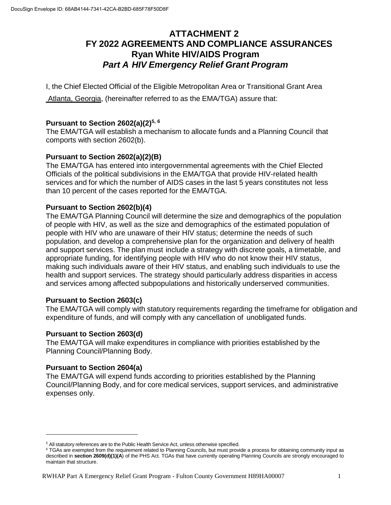# **ATTACHMENT 2 FY 2022 AGREEMENTS AND COMPLIANCE ASSURANCES Ryan White HIV/AIDS Program** *Part A HIV Emergency Relief Grant Program*

I, the Chief Elected Official of the Eligible Metropolitan Area or Transitional Grant Area

Atlanta, Georgia, (hereinafter referred to as the EMA/TGA) assure that:

## **Pursuant to Section 2602(a)(2)[5,](#page--1-0) [6](#page--1-1)**

The EMA/TGA will establish a mechanism to allocate funds and a Planning Council that comports with section 2602(b).

# **Pursuant to Section 2602(a)(2)(B)**

The EMA/TGA has entered into intergovernmental agreements with the Chief Elected Officials of the political subdivisions in the EMA/TGA that provide HIV-related health services and for which the number of AIDS cases in the last 5 years constitutes not less than 10 percent of the cases reported for the EMA/TGA.

## **Pursuant to Section 2602(b)(4)**

The EMA/TGA Planning Council will determine the size and demographics of the population of people with HIV, as well as the size and demographics of the estimated population of people with HIV who are unaware of their HIV status; determine the needs of such population, and develop a comprehensive plan for the organization and delivery of health and support services. The plan must include a strategy with discrete goals, a timetable, and appropriate funding, for identifying people with HIV who do not know their HIV status, making such individuals aware of their HIV status, and enabling such individuals to use the health and support services. The strategy should particularly address disparities in access and services among affected subpopulations and historically underserved communities.

## **Pursuant to Section 2603(c)**

The EMA/TGA will comply with statutory requirements regarding the timeframe for obligation and expenditure of funds, and will comply with any cancellation of unobligated funds.

## **Pursuant to Section 2603(d)**

The EMA/TGA will make expenditures in compliance with priorities established by the Planning Council/Planning Body.

## **Pursuant to Section 2604(a)**

The EMA/TGA will expend funds according to priorities established by the Planning Council/Planning Body, and for core medical services, support services, and administrative expenses only.

<sup>&</sup>lt;sup>5</sup> All statutory references are to the Public Health Service Act, unless otherwise specified.

<sup>&</sup>lt;sup>6</sup> TGAs are exempted from the requirement related to Planning Councils, but must provide a process for obtaining community input as described in **section 2609(d)(1)(A**) of the PHS Act. TGAs that have currently operating Planning Councils are strongly encouraged to maintain that structure.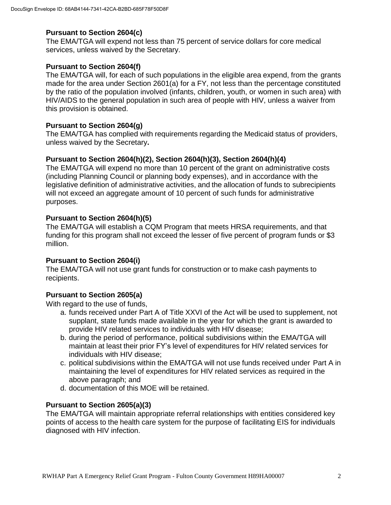#### **Pursuant to Section 2604(c)**

The EMA/TGA will expend not less than 75 percent of service dollars for core medical services, unless waived by the Secretary.

#### **Pursuant to Section 2604(f)**

The EMA/TGA will, for each of such populations in the eligible area expend, from the grants made for the area under Section 2601(a) for a FY, not less than the percentage constituted by the ratio of the population involved (infants, children, youth, or women in such area) with HIV/AIDS to the general population in such area of people with HIV, unless a waiver from this provision is obtained.

#### **Pursuant to Section 2604(g)**

The EMA/TGA has complied with requirements regarding the Medicaid status of providers, unless waived by the Secretary**.**

#### **Pursuant to Section 2604(h)(2), Section 2604(h)(3), Section 2604(h)(4)**

The EMA/TGA will expend no more than 10 percent of the grant on administrative costs (including Planning Council or planning body expenses), and in accordance with the legislative definition of administrative activities, and the allocation of funds to subrecipients will not exceed an aggregate amount of 10 percent of such funds for administrative purposes.

#### **Pursuant to Section 2604(h)(5)**

The EMA/TGA will establish a CQM Program that meets HRSA requirements, and that funding for this program shall not exceed the lesser of five percent of program funds or \$3 million.

## **Pursuant to Section 2604(i)**

The EMA/TGA will not use grant funds for construction or to make cash payments to recipients.

## **Pursuant to Section 2605(a)**

With regard to the use of funds,

- a. funds received under Part A of Title XXVI of the Act will be used to supplement, not supplant, state funds made available in the year for which the grant is awarded to provide HIV related services to individuals with HIV disease;
- b. during the period of performance, political subdivisions within the EMA/TGA will maintain at least their prior FY's level of expenditures for HIV related services for individuals with HIV disease;
- c. political subdivisions within the EMA/TGA will not use funds received under Part A in maintaining the level of expenditures for HIV related services as required in the above paragraph; and
- d. documentation of this MOE will be retained.

## **Pursuant to Section 2605(a)(3)**

The EMA/TGA will maintain appropriate referral relationships with entities considered key points of access to the health care system for the purpose of facilitating EIS for individuals diagnosed with HIV infection.